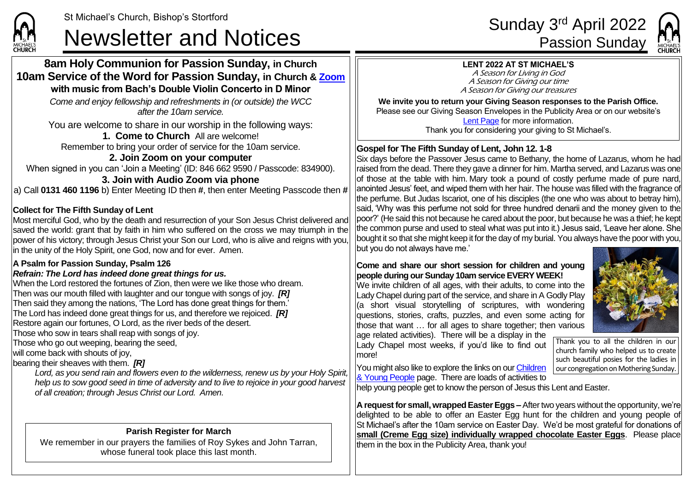**CHURCH** 

# St Michael's Church, Bishop's Stortford<br>Sunday 3<sup>rd</sup> April 2022<br>Passion Sunday

#### **8am Holy Communion for Passion Sunday, in Church 10am Service of the Word for Passion Sunday, in Church & [Zoom](https://zoom.us/) with music from Bach's Double Violin Concerto in D Minor**

*Come and enjoy fellowship and refreshments in (or outside) the WCC after the 10am service.*

You are welcome to share in our worship in the following ways:

## **1. Come to Church** All are welcome!

Remember to bring your order of service for the 10am service.

#### **2. Join Zoom on your computer** When signed in you can 'Join a Meeting' (ID: 846 662 9590 / Passcode: 834900). **3. Join with Audio Zoom via phone**

a) Call **0131 460 1196** b) Enter Meeting ID then **#**, then enter Meeting Passcode then **#**

## **Collect for The Fifth Sunday of Lent**

Most merciful God, who by the death and resurrection of your Son Jesus Christ delivered and saved the world: grant that by faith in him who suffered on the cross we may triumph in the power of his victory; through Jesus Christ your Son our Lord, who is alive and reigns with you, in the unity of the Holy Spirit, one God, now and for ever. Amen.

#### **A Psalm for Passion Sunday, Psalm 126**

#### *Refrain: The Lord has indeed done great things for us.*

When the Lord restored the fortunes of Zion, then were we like those who dream. Then was our mouth filled with laughter and our tongue with songs of joy. *[R]* Then said they among the nations, 'The Lord has done great things for them.' The Lord has indeed done great things for us, and therefore we rejoiced. *[R]* Restore again our fortunes, O Lord, as the river beds of the desert. Those who sow in tears shall reap with songs of joy.

Those who go out weeping, bearing the seed,

will come back with shouts of joy.

bearing their sheaves with them. *[R]*

*Lord, as you send rain and flowers even to the wilderness, renew us by your Holy Spirit, help us to sow good seed in time of adversity and to live to rejoice in your good harvest of all creation; through Jesus Christ our Lord. Amen.*

# **Parish Register for March**

We remember in our prayers the families of Roy Sykes and John Tarran, whose funeral took place this last month.



## **LENT 2022 AT ST MICHAEL'S**

A Season for Living in God A Season for Giving our time A Season for Giving our treasures

**We invite you to return your Giving Season responses to the Parish Office.** Please see our Giving Season Envelopes in the Publicity Area or on our website's [Lent Page](https://saintmichaelweb.org.uk/Groups/356592/Lent_and_Easter.aspx) for more information. Thank you for considering your giving to St Michael's.

## **Gospel for The Fifth Sunday of Lent, John 12. 1-8**

Six days before the Passover Jesus came to Bethany, the home of Lazarus, whom he had raised from the dead. There they gave a dinner for him. Martha served, and Lazarus was one of those at the table with him. Mary took a pound of costly perfume made of pure nard, anointed Jesus' feet, and wiped them with her hair. The house was filled with the fragrance of the perfume. But Judas Iscariot, one of his disciples (the one who was about to betray him), said, 'Why was this perfume not sold for three hundred denarii and the money given to the poor?' (He said this not because he cared about the poor, but because he was a thief; he kept the common purse and used to steal what was put into it.) Jesus said, 'Leave her alone. She bought it so that she might keep it for the day of my burial. You always have the poor with you, but you do not always have me.'

#### **Come and share our short session for children and young people during our Sunday 10am service EVERY WEEK!**

We invite children of all ages, with their adults, to come into the Lady Chapel during part of the service, and share in A Godly Play (a short visual storytelling of scriptures, with wondering questions, stories, crafts, puzzles, and even some acting for those that want … for all ages to share together; then various

age related activities). There will be a display in the Lady Chapel most weeks, if you'd like to find out more!



Thank you to all the children in our church family who helped us to create such beautiful posies for the ladies in our congregation on Mothering Sunday.

You might also like to explore the links on our Children [& Young People](https://saintmichaelweb.org.uk/Groups/310496/Children_and_Young.aspx) page. There are loads of activities to

help young people get to know the person of Jesus this Lent and Easter.

**A request for small, wrapped Easter Eggs –**After two years without the opportunity, we're delighted to be able to offer an Easter Egg hunt for the children and young people of St Michael's after the 10am service on Easter Day. We'd be most grateful for donations of **small (Creme Egg size) individually wrapped chocolate Easter Eggs**. Please place them in the box in the Publicity Area, thank you!